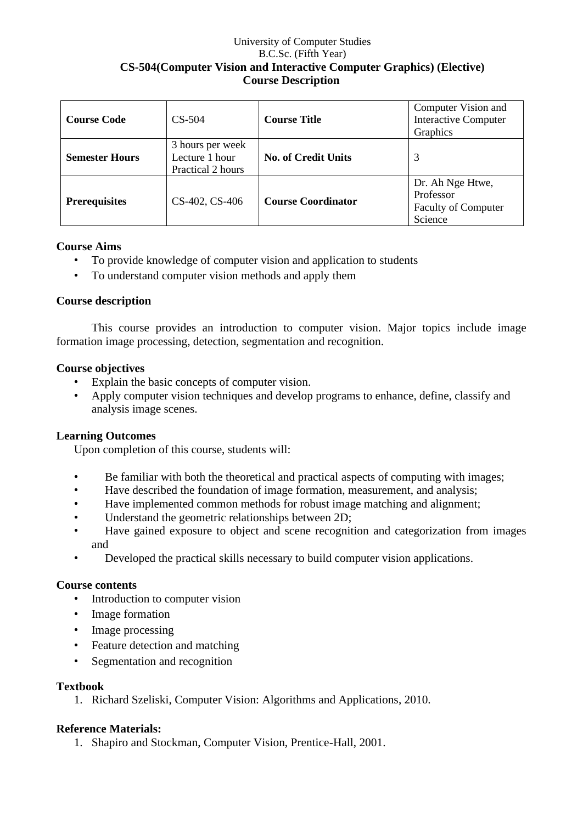### University of Computer Studies B.C.Sc. (Fifth Year) **CS-504(Computer Vision and Interactive Computer Graphics) (Elective) Course Description**

| <b>Course Code</b>    | $CS-504$                                                | <b>Course Title</b>        | Computer Vision and<br><b>Interactive Computer</b><br>Graphics         |
|-----------------------|---------------------------------------------------------|----------------------------|------------------------------------------------------------------------|
| <b>Semester Hours</b> | 3 hours per week<br>Lecture 1 hour<br>Practical 2 hours | <b>No. of Credit Units</b> | 3                                                                      |
| <b>Prerequisites</b>  | CS-402, CS-406                                          | <b>Course Coordinator</b>  | Dr. Ah Nge Htwe,<br>Professor<br><b>Faculty of Computer</b><br>Science |

## **Course Aims**

- To provide knowledge of computer vision and application to students
- To understand computer vision methods and apply them

#### **Course description**

This course provides an introduction to computer vision. Major topics include image formation image processing, detection, segmentation and recognition.

#### **Course objectives**

- Explain the basic concepts of computer vision.
- Apply computer vision techniques and develop programs to enhance, define, classify and analysis image scenes.

#### **Learning Outcomes**

Upon completion of this course, students will:

- Be familiar with both the theoretical and practical aspects of computing with images;
- Have described the foundation of image formation, measurement, and analysis;
- Have implemented common methods for robust image matching and alignment;
- Understand the geometric relationships between 2D;
- Have gained exposure to object and scene recognition and categorization from images and
- Developed the practical skills necessary to build computer vision applications.

#### **Course contents**

- Introduction to computer vision
- Image formation
- Image processing
- Feature detection and matching
- Segmentation and recognition

#### **Textbook**

1. Richard Szeliski, Computer Vision: Algorithms and Applications, 2010.

#### **Reference Materials:**

1. Shapiro and Stockman, Computer Vision, Prentice-Hall, 2001.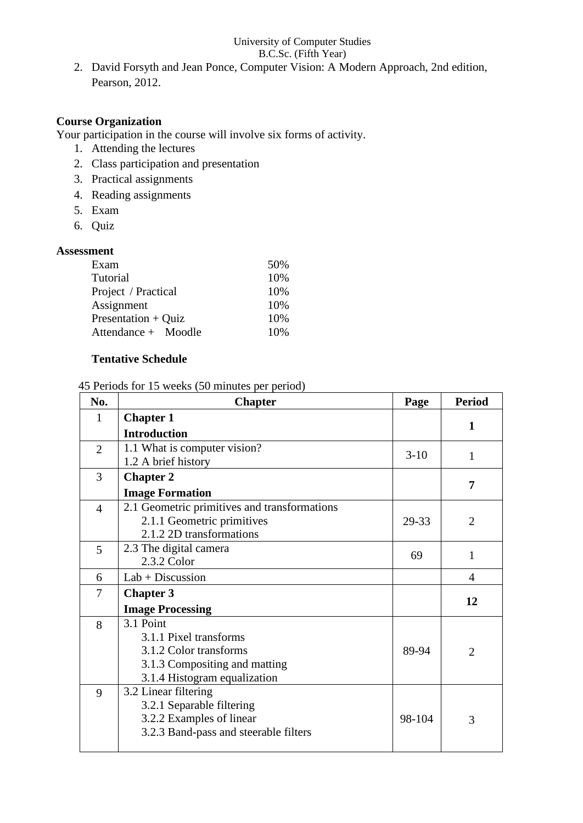#### University of Computer Studies B.C.Sc. (Fifth Year)

2. David Forsyth and Jean Ponce, Computer Vision: A Modern Approach, 2nd edition, Pearson, 2012.

### **Course Organization**

- Your participation in the course will involve six forms of activity.
	- 1. Attending the lectures
	- 2. Class participation and presentation
	- 3. Practical assignments
	- 4. Reading assignments
	- 5. Exam
	- 6. Quiz

## **Assessment**

| Exam                | 50% |  |
|---------------------|-----|--|
| Tutorial            | 10% |  |
| Project / Practical | 10% |  |
| Assignment          | 10% |  |
| Presentation + Quiz | 10% |  |
| Attendance + Moodle | 10% |  |

# **Tentative Schedule**

### 45 Periods for 15 weeks (50 minutes per period)

| 1<br>1<br>7    |
|----------------|
|                |
|                |
|                |
|                |
|                |
|                |
|                |
| $\overline{2}$ |
|                |
| 1              |
|                |
| 4              |
| 12             |
|                |
|                |
|                |
| $\overline{2}$ |
|                |
|                |
|                |
|                |
| 3              |
|                |
|                |